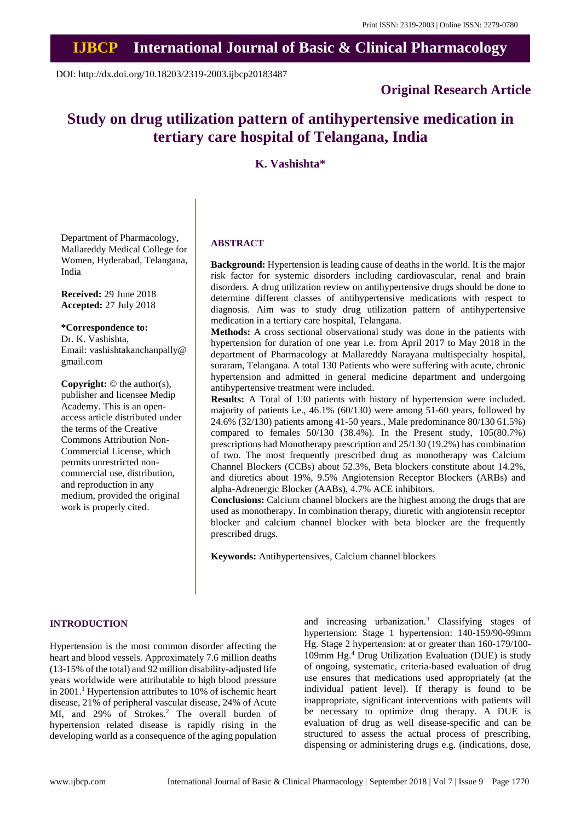# **IJBCP International Journal of Basic & Clinical Pharmacology**

DOI: http://dx.doi.org/10.18203/2319-2003.ijbcp20183487

## **Original Research Article**

# **Study on drug utilization pattern of antihypertensive medication in tertiary care hospital of Telangana, India**

## **K. Vashishta\***

Department of Pharmacology, Mallareddy Medical College for Women, Hyderabad, Telangana, India

**Received:** 29 June 2018 **Accepted:** 27 July 2018

**\*Correspondence to:** Dr. K. Vashishta, Email: vashishtakanchanpally@ gmail.com

**Copyright:** © the author(s), publisher and licensee Medip Academy. This is an openaccess article distributed under the terms of the Creative Commons Attribution Non-Commercial License, which permits unrestricted noncommercial use, distribution, and reproduction in any medium, provided the original work is properly cited.

### **ABSTRACT**

**Background:** Hypertension is leading cause of deaths in the world. It is the major risk factor for systemic disorders including cardiovascular, renal and brain disorders. A drug utilization review on antihypertensive drugs should be done to determine different classes of antihypertensive medications with respect to diagnosis. Aim was to study drug utilization pattern of antihypertensive medication in a tertiary care hospital, Telangana.

**Methods:** A cross sectional observational study was done in the patients with hypertension for duration of one year i.e. from April 2017 to May 2018 in the department of Pharmacology at Mallareddy Narayana multispecialty hospital, suraram, Telangana. A total 130 Patients who were suffering with acute, chronic hypertension and admitted in general medicine department and undergoing antihypertensive treatment were included.

**Results:** A Total of 130 patients with history of hypertension were included. majority of patients i.e., 46.1% (60/130) were among 51-60 years, followed by 24.6% (32/130) patients among 41-50 years., Male predominance 80/130 61.5%) compared to females 50/130 (38.4%). In the Present study, 105(80.7%) prescriptions had Monotherapy prescription and 25/130 (19.2%) has combination of two. The most frequently prescribed drug as monotherapy was Calcium Channel Blockers (CCBs) about 52.3%, Beta blockers constitute about 14.2%, and diuretics about 19%, 9.5% Angiotension Receptor Blockers (ARBs) and alpha-Adrenergic Blocker (AABs), 4.7% ACE inhibitors.

**Conclusions:** Calcium channel blockers are the highest among the drugs that are used as monotherapy. In combination therapy, diuretic with angiotensin receptor blocker and calcium channel blocker with beta blocker are the frequently prescribed drugs.

**Keywords:** Antihypertensives, Calcium channel blockers

#### **INTRODUCTION**

Hypertension is the most common disorder affecting the heart and blood vessels. Approximately 7.6 million deaths (13-15% of the total) and 92 million disability-adjusted life years worldwide were attributable to high blood pressure in  $2001$ .<sup>1</sup> Hypertension attributes to 10% of ischemic heart disease, 21% of peripheral vascular disease, 24% of Acute MI, and 29% of Strokes.<sup>2</sup> The overall burden of hypertension related disease is rapidly rising in the developing world as a consequence of the aging population and increasing urbanization.<sup>3</sup> Classifying stages of hypertension: Stage 1 hypertension: 140-159/90-99mm Hg. Stage 2 hypertension: at or greater than 160-179/100- 109mm Hg.<sup>4</sup> Drug Utilization Evaluation (DUE) is study of ongoing, systematic, criteria-based evaluation of drug use ensures that medications used appropriately (at the individual patient level). If therapy is found to be inappropriate, significant interventions with patients will be necessary to optimize drug therapy. A DUE is evaluation of drug as well disease-specific and can be structured to assess the actual process of prescribing, dispensing or administering drugs e.g. (indications, dose,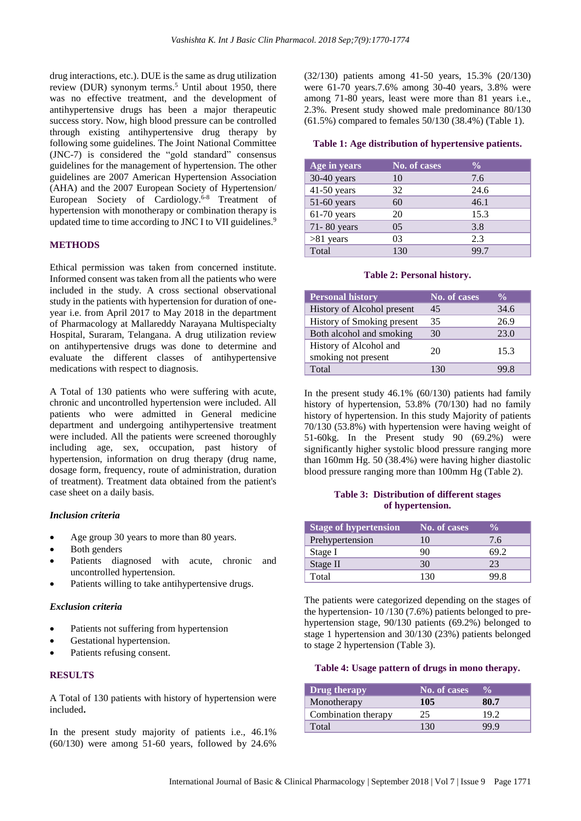drug interactions, etc.). DUE is the same as drug utilization review (DUR) synonym terms.<sup>5</sup> Until about 1950, there was no effective treatment, and the development of antihypertensive drugs has been a major therapeutic success story. Now, high blood pressure can be controlled through existing antihypertensive drug therapy by following some guidelines. The Joint National Committee (JNC-7) is considered the "gold standard" consensus guidelines for the management of hypertension. The other guidelines are 2007 American Hypertension Association (AHA) and the 2007 European Society of Hypertension/ European Society of Cardiology.<sup>6-8</sup> Treatment of hypertension with monotherapy or combination therapy is updated time to time according to JNC I to VII guidelines.<sup>9</sup>

### **METHODS**

Ethical permission was taken from concerned institute. Informed consent was taken from all the patients who were included in the study. A cross sectional observational study in the patients with hypertension for duration of oneyear i.e. from April 2017 to May 2018 in the department of Pharmacology at Mallareddy Narayana Multispecialty Hospital, Suraram, Telangana. A drug utilization review on antihypertensive drugs was done to determine and evaluate the different classes of antihypertensive medications with respect to diagnosis.

A Total of 130 patients who were suffering with acute, chronic and uncontrolled hypertension were included. All patients who were admitted in General medicine department and undergoing antihypertensive treatment were included. All the patients were screened thoroughly including age, sex, occupation, past history of hypertension, information on drug therapy (drug name, dosage form, frequency, route of administration, duration of treatment). Treatment data obtained from the patient's case sheet on a daily basis.

#### *Inclusion criteria*

- Age group 30 years to more than 80 years.
- Both genders
- Patients diagnosed with acute, chronic and uncontrolled hypertension.
- Patients willing to take antihypertensive drugs.

#### *Exclusion criteria*

- Patients not suffering from hypertension
- Gestational hypertension.
- Patients refusing consent.

#### **RESULTS**

A Total of 130 patients with history of hypertension were included**.**

In the present study majority of patients i.e., 46.1%  $(60/130)$  were among 51-60 years, followed by 24.6%

(32/130) patients among 41-50 years, 15.3% (20/130) were 61-70 years.7.6% among 30-40 years, 3.8% were among 71-80 years, least were more than 81 years i.e., 2.3%. Present study showed male predominance 80/130 (61.5%) compared to females 50/130 (38.4%) (Table 1).

#### **Table 1: Age distribution of hypertensive patients.**

| Age in years  | No. of cases | $\frac{0}{0}$ |
|---------------|--------------|---------------|
| $30-40$ years | 10           | 7.6           |
| $41-50$ years | 32           | 24.6          |
| $51-60$ years | 60           | 46.1          |
| $61-70$ years | 20           | 15.3          |
| 71-80 years   | 05           | 3.8           |
| $>81$ years   | 03           | 2.3           |
| Total         | 130          | 99.7          |

#### **Table 2: Personal history.**

| <b>Personal history</b>                       | No. of cases | $\frac{0}{\sqrt{2}}$ |
|-----------------------------------------------|--------------|----------------------|
| History of Alcohol present                    | 45           | 34.6                 |
| History of Smoking present                    | 35           | 26.9                 |
| Both alcohol and smoking                      | 30           | 23.0                 |
| History of Alcohol and<br>smoking not present | 20           | 15.3                 |
| Total                                         |              |                      |

In the present study 46.1% (60/130) patients had family history of hypertension, 53.8% (70/130) had no family history of hypertension. In this study Majority of patients 70/130 (53.8%) with hypertension were having weight of 51-60kg. In the Present study 90 (69.2%) were significantly higher systolic blood pressure ranging more than 160mm Hg. 50 (38.4%) were having higher diastolic blood pressure ranging more than 100mm Hg (Table 2).

#### **Table 3: Distribution of different stages of hypertension.**

| <b>Stage of hypertension</b> | No. of cases |      |
|------------------------------|--------------|------|
| Prehypertension              | 10           | 7.6  |
| Stage I                      | 9O           | 69.2 |
| Stage II                     | 30           | 23   |
| Total                        | 130          |      |

The patients were categorized depending on the stages of the hypertension- 10 /130 (7.6%) patients belonged to prehypertension stage, 90/130 patients (69.2%) belonged to stage 1 hypertension and 30/130 (23%) patients belonged to stage 2 hypertension (Table 3).

#### **Table 4: Usage pattern of drugs in mono therapy.**

| Drug therapy        | No. of cases | $\frac{0}{\sqrt{2}}$ |
|---------------------|--------------|----------------------|
| Monotherapy         | 105          | 80.7                 |
| Combination therapy | 25           | 19.2                 |
| Total               | 130          | 99 9                 |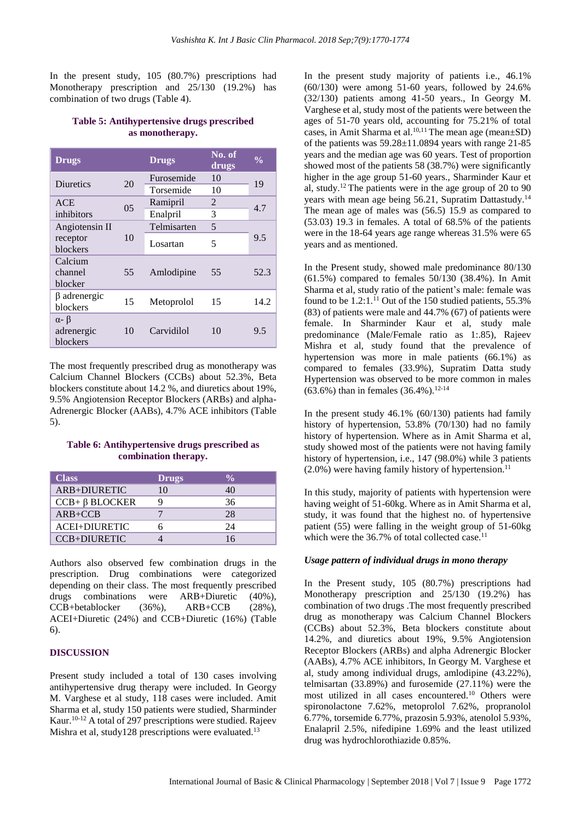In the present study, 105 (80.7%) prescriptions had Monotherapy prescription and 25/130 (19.2%) has combination of two drugs (Table 4).

## **Table 5: Antihypertensive drugs prescribed as monotherapy.**

|    | <b>Drugs</b>          | No. of<br>drugs                      | $\frac{0}{0}$ |  |
|----|-----------------------|--------------------------------------|---------------|--|
|    | Furosemide            | 10                                   | 19            |  |
|    | Torsemide             | 10                                   |               |  |
|    | Ramipril              | 2                                    | 4.7           |  |
|    | Enalpril              | 3                                    |               |  |
|    | Telmisarten           | 5                                    |               |  |
| 10 |                       |                                      | 9.5           |  |
|    |                       |                                      |               |  |
|    |                       |                                      |               |  |
|    |                       |                                      | 52.3          |  |
|    |                       |                                      |               |  |
| 15 | Metoprolol            | 15                                   | 14.2          |  |
|    |                       |                                      |               |  |
|    |                       |                                      | 9.5           |  |
|    |                       |                                      |               |  |
|    | 20<br>0.5<br>55<br>10 | Losartan<br>Amlodipine<br>Carvidilol | 5<br>55<br>10 |  |

The most frequently prescribed drug as monotherapy was Calcium Channel Blockers (CCBs) about 52.3%, Beta blockers constitute about 14.2 %, and diuretics about 19%, 9.5% Angiotension Receptor Blockers (ARBs) and alpha-Adrenergic Blocker (AABs), 4.7% ACE inhibitors (Table 5).

## **Table 6: Antihypertensive drugs prescribed as combination therapy.**

| <b>Class</b>         | <b>Drugs</b> |    |
|----------------------|--------------|----|
| $ARB+DIURETIC$       | 10           |    |
| $CCB+ \beta BLOCKER$ |              | 36 |
| $ARB+CCB$            |              | 28 |
| ACEI+DIURETIC        |              | 24 |
| <b>CCB+DIURETIC</b>  |              | 16 |

Authors also observed few combination drugs in the prescription. Drug combinations were categorized depending on their class. The most frequently prescribed drugs combinations were ARB+Diuretic (40%), CCB+betablocker (36%), ARB+CCB (28%), ACEI+Diuretic (24%) and CCB+Diuretic (16%) (Table 6).

#### **DISCUSSION**

Present study included a total of 130 cases involving antihypertensive drug therapy were included. In Georgy M. Varghese et al study, 118 cases were included. Amit Sharma et al, study 150 patients were studied, Sharminder Kaur. 10-12 A total of 297 prescriptions were studied. Rajeev Mishra et al, study128 prescriptions were evaluated.<sup>13</sup>

In the present study majority of patients i.e., 46.1%  $(60/130)$  were among 51-60 years, followed by 24.6% (32/130) patients among 41-50 years., In Georgy M. Varghese et al, study most of the patients were between the ages of 51-70 years old, accounting for 75.21% of total cases, in Amit Sharma et al. 10,11 The mean age (mean±SD) of the patients was 59.28±11.0894 years with range 21-85 years and the median age was 60 years. Test of proportion showed most of the patients 58 (38.7%) were significantly higher in the age group 51-60 years., Sharminder Kaur et al, study. <sup>12</sup> The patients were in the age group of 20 to 90 years with mean age being 56.21, Supratim Dattastudy.<sup>14</sup> The mean age of males was (56.5) 15.9 as compared to (53.03) 19.3 in females. A total of 68.5% of the patients were in the 18-64 years age range whereas 31.5% were 65 years and as mentioned.

In the Present study, showed male predominance 80/130 (61.5%) compared to females 50/130 (38.4%). In Amit Sharma et al, study ratio of the patient's male: female was found to be  $1.2:1$ .<sup>11</sup> Out of the 150 studied patients, 55.3% (83) of patients were male and 44.7% (67) of patients were female. In Sharminder Kaur et al, study male predominance (Male/Female ratio as 1:.85), Rajeev Mishra et al, study found that the prevalence of hypertension was more in male patients (66.1%) as compared to females (33.9%), Supratim Datta study Hypertension was observed to be more common in males (63.6%) than in females  $(36.4\%)$ .<sup>12-14</sup>

In the present study 46.1% (60/130) patients had family history of hypertension, 53.8% (70/130) had no family history of hypertension. Where as in Amit Sharma et al, study showed most of the patients were not having family history of hypertension, i.e., 147 (98.0%) while 3 patients  $(2.0\%)$  were having family history of hypertension.<sup>11</sup>

In this study, majority of patients with hypertension were having weight of 51-60kg. Where as in Amit Sharma et al, study, it was found that the highest no. of hypertensive patient (55) were falling in the weight group of 51-60kg which were the 36.7% of total collected case.<sup>11</sup>

#### *Usage pattern of individual drugs in mono therapy*

In the Present study, 105 (80.7%) prescriptions had Monotherapy prescription and 25/130 (19.2%) has combination of two drugs .The most frequently prescribed drug as monotherapy was Calcium Channel Blockers (CCBs) about 52.3%, Beta blockers constitute about 14.2%, and diuretics about 19%, 9.5% Angiotension Receptor Blockers (ARBs) and alpha Adrenergic Blocker (AABs), 4.7% ACE inhibitors, In Georgy M. Varghese et al, study among individual drugs, amlodipine (43.22%), telmisartan (33.89%) and furosemide (27.11%) were the most utilized in all cases encountered.<sup>10</sup> Others were spironolactone 7.62%, metoprolol 7.62%, propranolol 6.77%, torsemide 6.77%, prazosin 5.93%, atenolol 5.93%, Enalapril 2.5%, nifedipine 1.69% and the least utilized drug was hydrochlorothiazide 0.85%.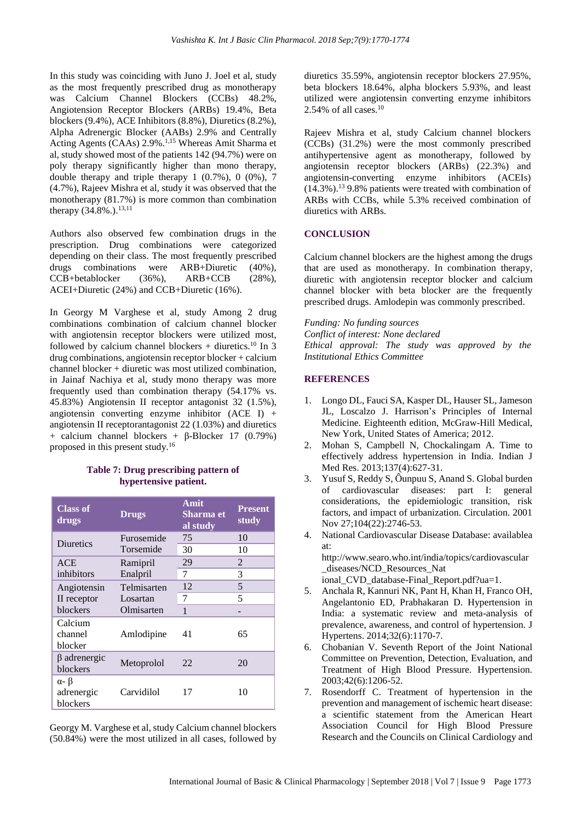In this study was coinciding with Juno J. Joel et al, study as the most frequently prescribed drug as monotherapy was Calcium Channel Blockers (CCBs) 48.2%, Angiotension Receptor Blockers (ARBs) 19.4%, Beta blockers (9.4%), ACE Inhibitors (8.8%), Diuretics (8.2%), Alpha Adrenergic Blocker (AABs) 2.9% and Centrally Acting Agents (CAAs) 2.9%.1,15 Whereas Amit Sharma et al, study showed most of the patients 142 (94.7%) were on poly therapy significantly higher than mono therapy, double therapy and triple therapy  $1$   $(0.7\%)$ ,  $0$   $(0\%)$ ,  $7$ (4.7%), Rajeev Mishra et al, study it was observed that the monotherapy (81.7%) is more common than combination therapy (34.8%.).<sup>13,11</sup>

Authors also observed few combination drugs in the prescription. Drug combinations were categorized depending on their class. The most frequently prescribed drugs combinations were ARB+Diuretic (40%), CCB+betablocker (36%), ARB+CCB (28%), ACEI+Diuretic (24%) and CCB+Diuretic (16%).

In Georgy M Varghese et al, study Among 2 drug combinations combination of calcium channel blocker with angiotensin receptor blockers were utilized most, followed by calcium channel blockers  $+$  diuretics.<sup>10</sup> In 3 drug combinations, angiotensin receptor blocker + calcium channel blocker + diuretic was most utilized combination, in Jainaf Nachiya et al, study mono therapy was more frequently used than combination therapy (54.17% vs. 45.83%) Angiotensin II receptor antagonist 32 (1.5%), angiotensin converting enzyme inhibitor  $(ACE I)$  + angiotensin II receptorantagonist 22 (1.03%) and diuretics + calcium channel blockers + β-Blocker 17 (0.79%) proposed in this present study. 16

## **Table 7: Drug prescribing pattern of hypertensive patient.**

| <b>Class of</b><br>drugs       | <b>Drugs</b> | Amit<br>Sharma et<br>al study | <b>Present</b><br>study |
|--------------------------------|--------------|-------------------------------|-------------------------|
| <b>Diuretics</b>               | Furosemide   | 75                            | 10                      |
|                                | Torsemide    | 30                            | 10                      |
| <b>ACE</b>                     | Ramipril     | 29                            | 2                       |
| inhibitors                     | Enalpril     | 7                             | 3                       |
| Angiotensin                    | Telmisarten  | 12                            | 5                       |
| II receptor                    | Losartan     | 7                             | 5                       |
| blockers                       | Olmisarten   | $\mathbf{1}$                  |                         |
| Calcium<br>channel<br>blocker  | Amlodipine   | 41                            | 65                      |
| $\beta$ adrenergic<br>blockers | Metoprolol   | 22                            | 20                      |
| α-β<br>adrenergic<br>blockers  | Carvidilol   | 17                            | 10                      |

Georgy M. Varghese et al, study Calcium channel blockers (50.84%) were the most utilized in all cases, followed by diuretics 35.59%, angiotensin receptor blockers 27.95%, beta blockers 18.64%, alpha blockers 5.93%, and least utilized were angiotensin converting enzyme inhibitors 2.54% of all cases. $10$ 

Rajeev Mishra et al, study Calcium channel blockers (CCBs) (31.2%) were the most commonly prescribed antihypertensive agent as monotherapy, followed by angiotensin receptor blockers (ARBs) (22.3%) and angiotensin-converting enzyme inhibitors (ACEIs) (14.3%).<sup>13</sup> 9.8% patients were treated with combination of ARBs with CCBs, while 5.3% received combination of diuretics with ARBs.

## **CONCLUSION**

Calcium channel blockers are the highest among the drugs that are used as monotherapy. In combination therapy, diuretic with angiotensin receptor blocker and calcium channel blocker with beta blocker are the frequently prescribed drugs. Amlodepin was commonly prescribed.

*Funding: No funding sources Conflict of interest: None declared Ethical approval: The study was approved by the Institutional Ethics Committee*

## **REFERENCES**

- 1. Longo DL, Fauci SA, Kasper DL, Hauser SL, Jameson JL, Loscalzo J. Harrison's Principles of Internal Medicine. Eighteenth edition, McGraw-Hill Medical, New York, United States of America; 2012.
- 2. Mohan S, Campbell N, Chockalingam A. Time to effectively address hypertension in India. Indian J Med Res. 2013;137(4):627-31.
- 3. Yusuf S, Reddy S, Ôunpuu S, Anand S. Global burden of cardiovascular diseases: part I: general considerations, the epidemiologic transition, risk factors, and impact of urbanization. Circulation. 2001 Nov 27;104(22):2746-53.
- 4. National Cardiovascular Disease Database: availablea at:

http://www.searo.who.int/india/topics/cardiovascular \_diseases/NCD\_Resources\_Nat

- ional CVD database-Final Report.pdf?ua=1.
- 5. Anchala R, Kannuri NK, Pant H, Khan H, Franco OH, Angelantonio ED, Prabhakaran D. Hypertension in India: a systematic review and meta-analysis of prevalence, awareness, and control of hypertension. J Hypertens. 2014;32(6):1170-7.
- 6. Chobanian V. Seventh Report of the Joint National Committee on Prevention, Detection, Evaluation, and Treatment of High Blood Pressure. Hypertension. 2003;42(6):1206-52.
- 7. Rosendorff C. Treatment of hypertension in the prevention and management of ischemic heart disease: a scientific statement from the American Heart Association Council for High Blood Pressure Research and the Councils on Clinical Cardiology and